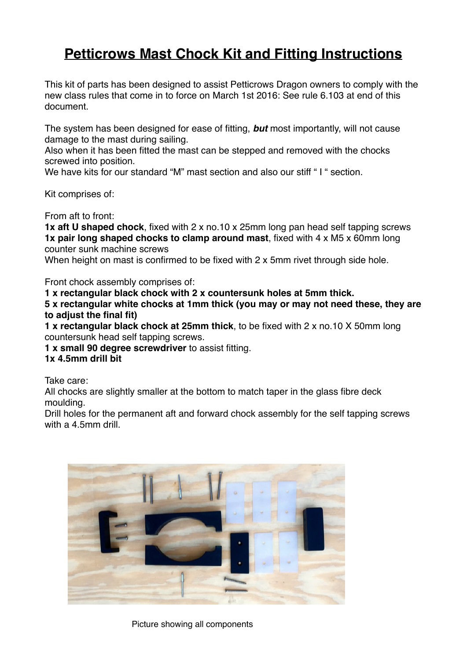## **Petticrows Mast Chock Kit and Fitting Instructions**

This kit of parts has been designed to assist Petticrows Dragon owners to comply with the new class rules that come in to force on March 1st 2016: See rule 6.103 at end of this document.

The system has been designed for ease of fitting, *but* most importantly, will not cause damage to the mast during sailing.

Also when it has been fitted the mast can be stepped and removed with the chocks screwed into position.

We have kits for our standard "M" mast section and also our stiff "I " section.

Kit comprises of:

From aft to front:

**1x aft U shaped chock**, fixed with 2 x no.10 x 25mm long pan head self tapping screws **1x pair long shaped chocks to clamp around mast**, fixed with 4 x M5 x 60mm long counter sunk machine screws

When height on mast is confirmed to be fixed with 2 x 5mm rivet through side hole.

Front chock assembly comprises of:

**1 x rectangular black chock with 2 x countersunk holes at 5mm thick.**

**5 x rectangular white chocks at 1mm thick (you may or may not need these, they are to adjust the final fit)**

**1 x rectangular black chock at 25mm thick**, to be fixed with 2 x no.10 X 50mm long countersunk head self tapping screws.

**1 x small 90 degree screwdriver** to assist fitting.

## **1x 4.5mm drill bit**

Take care:

All chocks are slightly smaller at the bottom to match taper in the glass fibre deck moulding.

Drill holes for the permanent aft and forward chock assembly for the self tapping screws with a 4.5mm drill.



Picture showing all components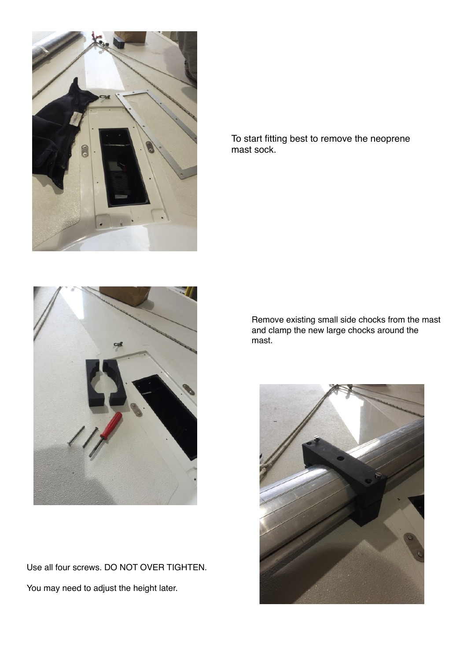



Use all four screws. DO NOT OVER TIGHTEN. You may need to adjust the height later.

To start fitting best to remove the neoprene mast sock.

> Remove existing small side chocks from the mast and clamp the new large chocks around the mast.

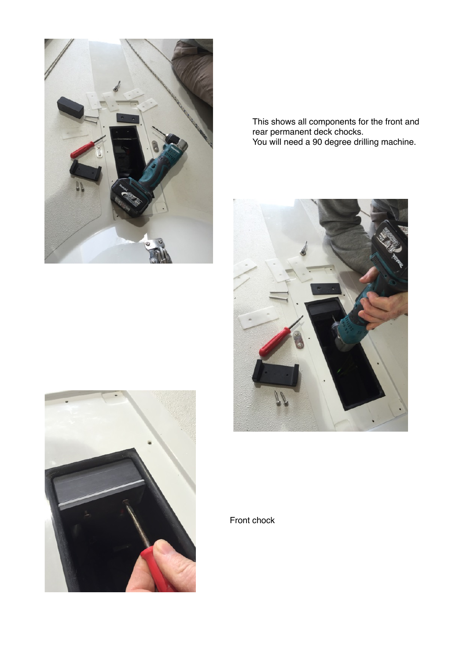

This shows all components for the front and rear permanent deck chocks. You will need a 90 degree drilling machine.





Front chock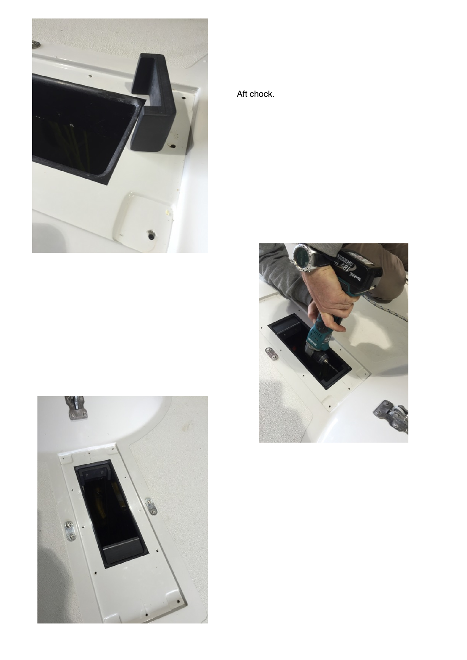

Aft chock.



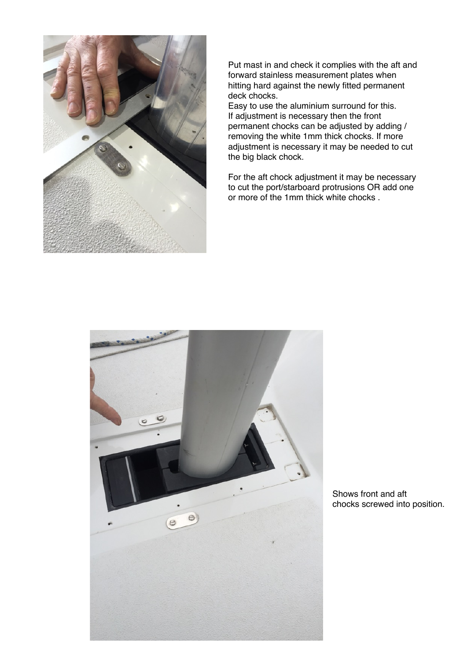

Put mast in and check it complies with the aft and forward stainless measurement plates when hitting hard against the newly fitted permanent deck chocks.

Easy to use the aluminium surround for this. If adjustment is necessary then the front permanent chocks can be adjusted by adding / removing the white 1mm thick chocks. If more adjustment is necessary it may be needed to cut the big black chock.

For the aft chock adjustment it may be necessary to cut the port/starboard protrusions OR add one or more of the 1mm thick white chocks .



Shows front and aft chocks screwed into position.